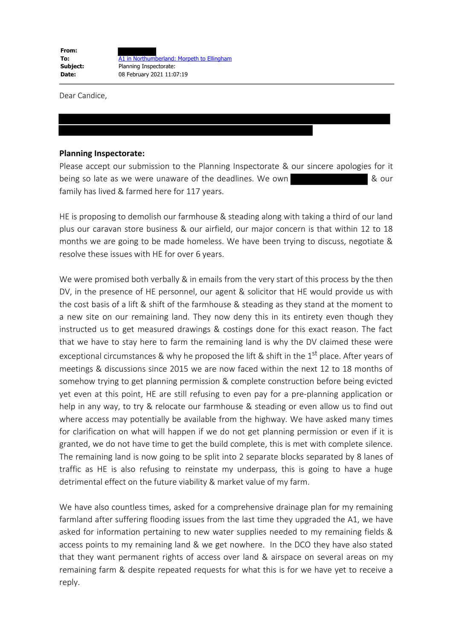Dear Candice,

## **Planning Inspectorate:**

Please accept our submission to the Planning Inspectorate & our sincere apologies for it being so late as we were unaware of the deadlines. We own  $\sim$  8 our family has lived & farmed here for 117 years.

HE is proposing to demolish our farmhouse & steading along with taking a third of our land plus our caravan store business & our airfield, our major concern is that within 12 to 18 months we are going to be made homeless. We have been trying to discuss, negotiate & resolve these issues with HE for over 6 years.

We were promised both verbally & in emails from the very start of this process by the then DV, in the presence of HE personnel, our agent & solicitor that HE would provide us with the cost basis of a lift & shift of the farmhouse & steading as they stand at the moment to a new site on our remaining land. They now deny this in its entirety even though they instructed us to get measured drawings & costings done for this exact reason. The fact that we have to stay here to farm the remaining land is why the DV claimed these were exceptional circumstances & why he proposed the lift & shift in the  $1<sup>st</sup>$  place. After years of meetings & discussions since 2015 we are now faced within the next 12 to 18 months of somehow trying to get planning permission & complete construction before being evicted yet even at this point, HE are still refusing to even pay for a pre-planning application or help in any way, to try & relocate our farmhouse & steading or even allow us to find out where access may potentially be available from the highway. We have asked many times for clarification on what will happen if we do not get planning permission or even if it is granted, we do not have time to get the build complete, this is met with complete silence. The remaining land is now going to be split into 2 separate blocks separated by 8 lanes of traffic as HE is also refusing to reinstate my underpass, this is going to have a huge detrimental effect on the future viability & market value of my farm.

We have also countless times, asked for a comprehensive drainage plan for my remaining farmland after suffering flooding issues from the last time they upgraded the A1, we have asked for information pertaining to new water supplies needed to my remaining fields & access points to my remaining land & we get nowhere. In the DCO they have also stated that they want permanent rights of access over land & airspace on several areas on my remaining farm & despite repeated requests for what this is for we have yet to receive a reply.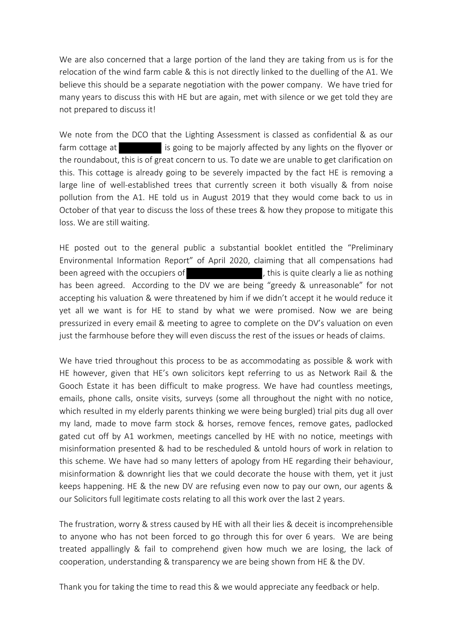We are also concerned that a large portion of the land they are taking from us is for the relocation of the wind farm cable & this is not directly linked to the duelling of the A1. We believe this should be a separate negotiation with the power company. We have tried for many years to discuss this with HE but are again, met with silence or we get told they are not prepared to discuss it!

We note from the DCO that the Lighting Assessment is classed as confidential & as our farm cottage at is going to be majorly affected by any lights on the flyover or the roundabout, this is of great concern to us. To date we are unable to get clarification on this. This cottage is already going to be severely impacted by the fact HE is removing a large line of well-established trees that currently screen it both visually & from noise pollution from the A1. HE told us in August 2019 that they would come back to us in October of that year to discuss the loss of these trees & how they propose to mitigate this loss. We are still waiting.

HE posted out to the general public a substantial booklet entitled the "Preliminary Environmental Information Report" of April 2020, claiming that all compensations had been agreed with the occupiers of  $\qquad \qquad$ , this is quite clearly a lie as nothing has been agreed. According to the DV we are being "greedy & unreasonable" for not accepting his valuation & were threatened by him if we didn't accept it he would reduce it yet all we want is for HE to stand by what we were promised. Now we are being pressurized in every email & meeting to agree to complete on the DV's valuation on even just the farmhouse before they will even discuss the rest of the issues or heads of claims.

We have tried throughout this process to be as accommodating as possible & work with HE however, given that HE's own solicitors kept referring to us as Network Rail & the Gooch Estate it has been difficult to make progress. We have had countless meetings, emails, phone calls, onsite visits, surveys (some all throughout the night with no notice, which resulted in my elderly parents thinking we were being burgled) trial pits dug all over my land, made to move farm stock & horses, remove fences, remove gates, padlocked gated cut off by A1 workmen, meetings cancelled by HE with no notice, meetings with misinformation presented & had to be rescheduled & untold hours of work in relation to this scheme. We have had so many letters of apology from HE regarding their behaviour, misinformation & downright lies that we could decorate the house with them, yet it just keeps happening. HE & the new DV are refusing even now to pay our own, our agents & our Solicitors full legitimate costs relating to all this work over the last 2 years.

The frustration, worry & stress caused by HE with all their lies & deceit is incomprehensible to anyone who has not been forced to go through this for over 6 years. We are being treated appallingly & fail to comprehend given how much we are losing, the lack of cooperation, understanding & transparency we are being shown from HE & the DV.

Thank you for taking the time to read this & we would appreciate any feedback or help.